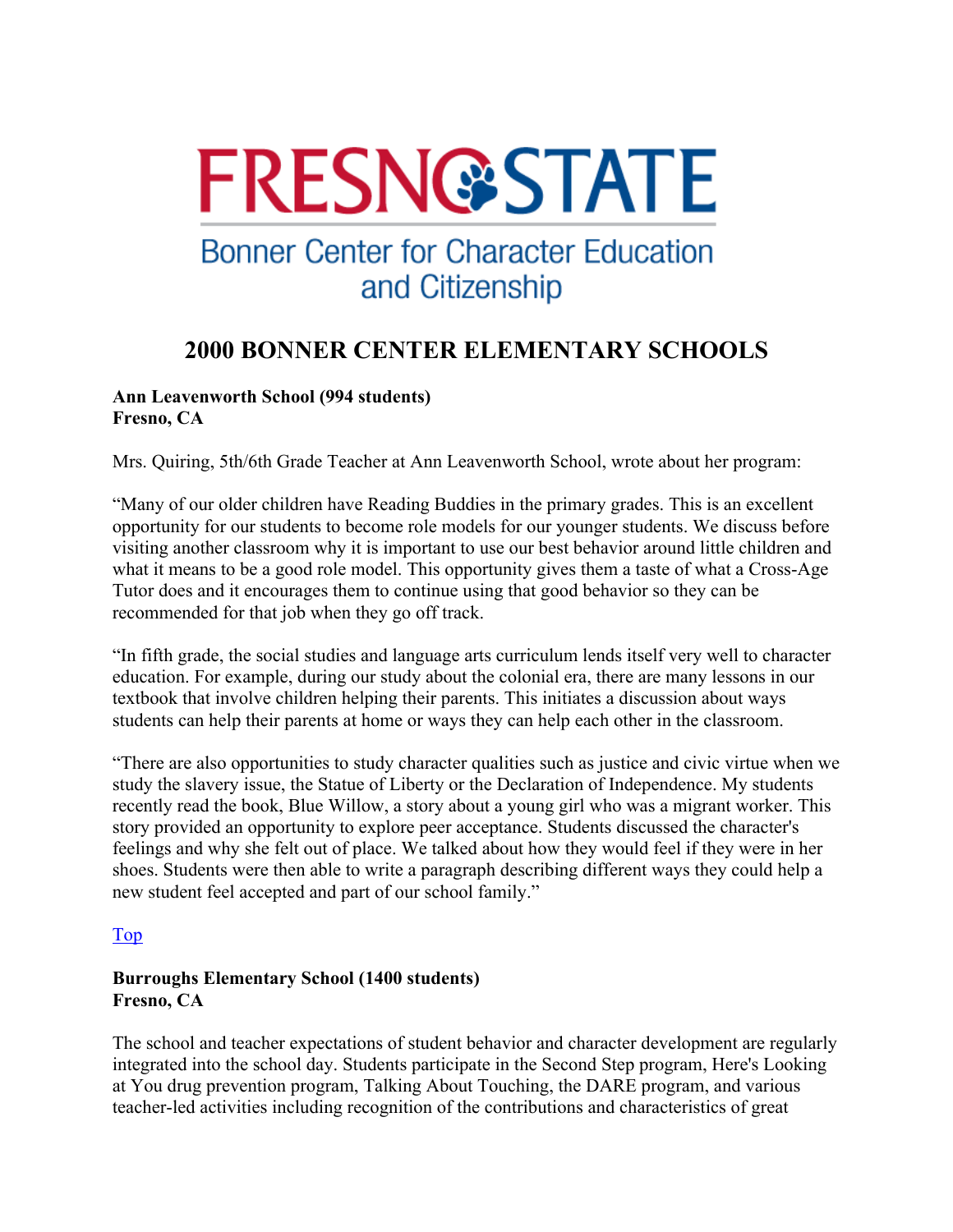

# **Bonner Center for Character Education** and Citizenship

## **2000 BONNER CENTER ELEMENTARY SCHOOLS**

#### **Ann Leavenworth School (994 students) Fresno, CA**

Mrs. Quiring, 5th/6th Grade Teacher at Ann Leavenworth School, wrote about her program:

"Many of our older children have Reading Buddies in the primary grades. This is an excellent opportunity for our students to become role models for our younger students. We discuss before visiting another classroom why it is important to use our best behavior around little children and what it means to be a good role model. This opportunity gives them a taste of what a Cross-Age Tutor does and it encourages them to continue using that good behavior so they can be recommended for that job when they go off track.

"In fifth grade, the social studies and language arts curriculum lends itself very well to character education. For example, during our study about the colonial era, there are many lessons in our textbook that involve children helping their parents. This initiates a discussion about ways students can help their parents at home or ways they can help each other in the classroom.

"There are also opportunities to study character qualities such as justice and civic virtue when we study the slavery issue, the Statue of Liberty or the Declaration of Independence. My students recently read the book, Blue Willow, a story about a young girl who was a migrant worker. This story provided an opportunity to explore peer acceptance. Students discussed the character's feelings and why she felt out of place. We talked about how they would feel if they were in her shoes. Students were then able to write a paragraph describing different ways they could help a new student feel accepted and part of our school family."

### Top

### **Burroughs Elementary School (1400 students) Fresno, CA**

The school and teacher expectations of student behavior and character development are regularly integrated into the school day. Students participate in the Second Step program, Here's Looking at You drug prevention program, Talking About Touching, the DARE program, and various teacher-led activities including recognition of the contributions and characteristics of great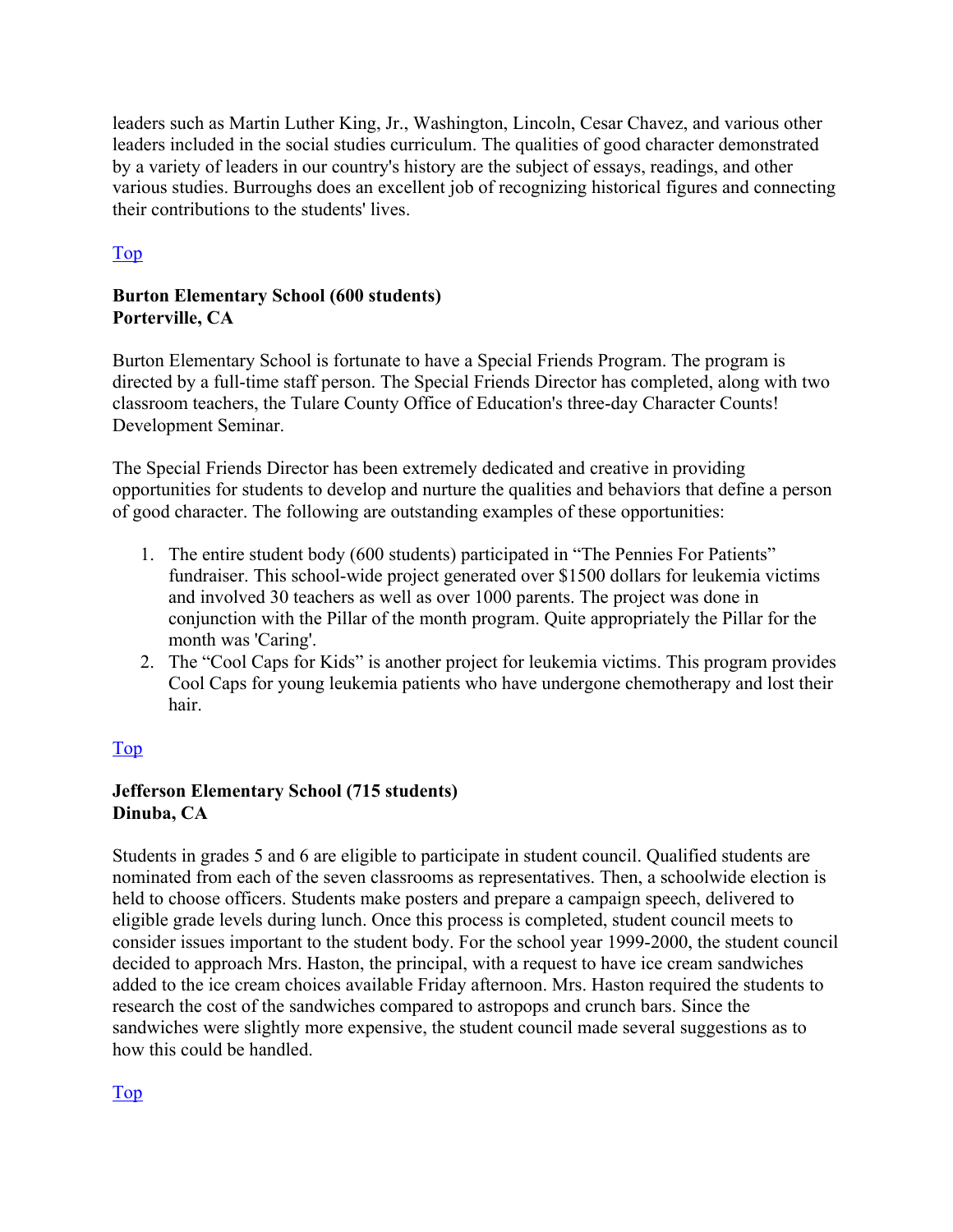leaders such as Martin Luther King, Jr., Washington, Lincoln, Cesar Chavez, and various other leaders included in the social studies curriculum. The qualities of good character demonstrated by a variety of leaders in our country's history are the subject of essays, readings, and other various studies. Burroughs does an excellent job of recognizing historical figures and connecting their contributions to the students' lives.

## Top

## **Burton Elementary School (600 students) Porterville, CA**

Burton Elementary School is fortunate to have a Special Friends Program. The program is directed by a full-time staff person. The Special Friends Director has completed, along with two classroom teachers, the Tulare County Office of Education's three-day Character Counts! Development Seminar.

The Special Friends Director has been extremely dedicated and creative in providing opportunities for students to develop and nurture the qualities and behaviors that define a person of good character. The following are outstanding examples of these opportunities:

- 1. The entire student body (600 students) participated in "The Pennies For Patients" fundraiser. This school-wide project generated over \$1500 dollars for leukemia victims and involved 30 teachers as well as over 1000 parents. The project was done in conjunction with the Pillar of the month program. Quite appropriately the Pillar for the month was 'Caring'.
- 2. The "Cool Caps for Kids" is another project for leukemia victims. This program provides Cool Caps for young leukemia patients who have undergone chemotherapy and lost their hair.

## Top

## **Jefferson Elementary School (715 students) Dinuba, CA**

Students in grades 5 and 6 are eligible to participate in student council. Qualified students are nominated from each of the seven classrooms as representatives. Then, a schoolwide election is held to choose officers. Students make posters and prepare a campaign speech, delivered to eligible grade levels during lunch. Once this process is completed, student council meets to consider issues important to the student body. For the school year 1999-2000, the student council decided to approach Mrs. Haston, the principal, with a request to have ice cream sandwiches added to the ice cream choices available Friday afternoon. Mrs. Haston required the students to research the cost of the sandwiches compared to astropops and crunch bars. Since the sandwiches were slightly more expensive, the student council made several suggestions as to how this could be handled.

Top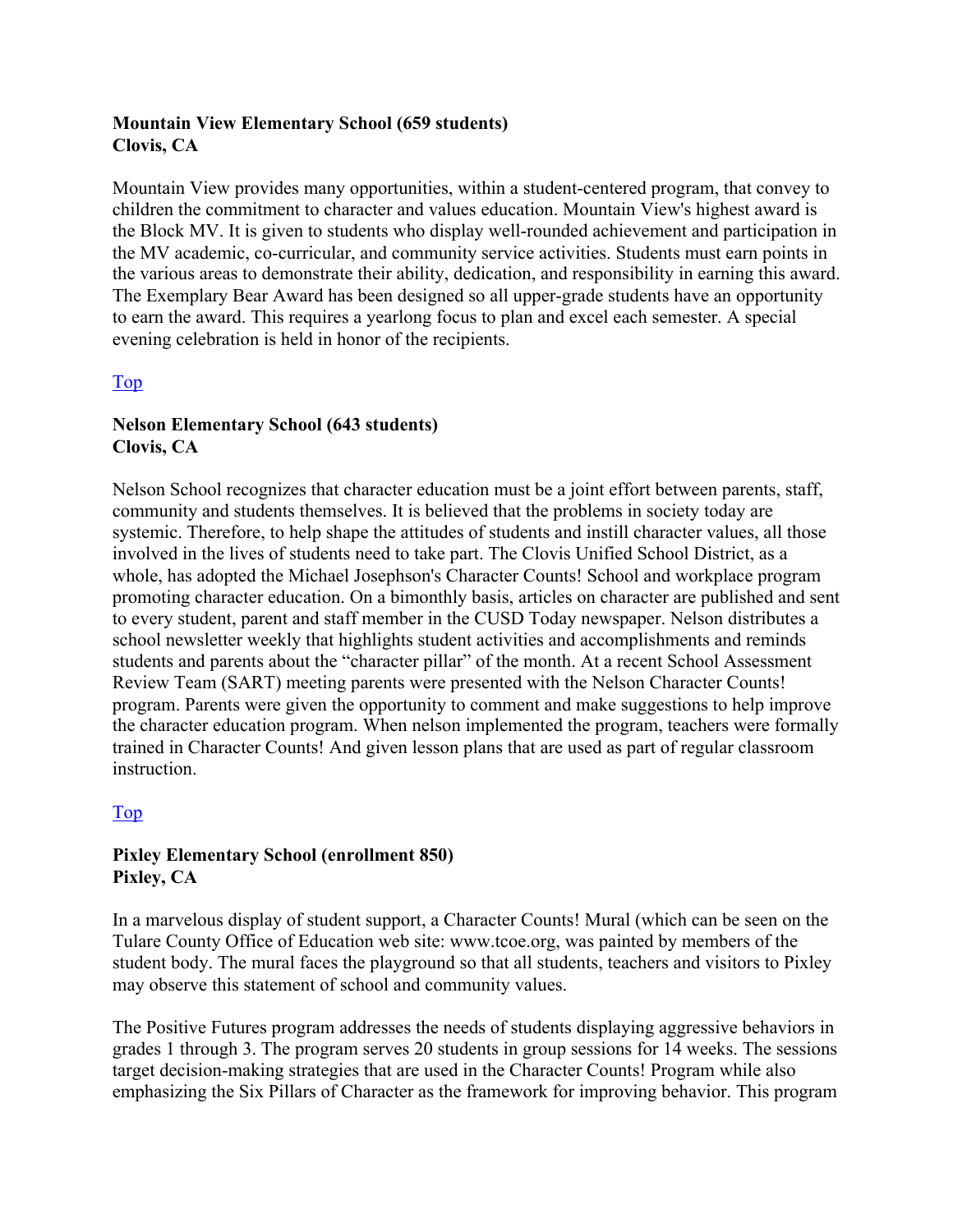## **Mountain View Elementary School (659 students) Clovis, CA**

Mountain View provides many opportunities, within a student-centered program, that convey to children the commitment to character and values education. Mountain View's highest award is the Block MV. It is given to students who display well-rounded achievement and participation in the MV academic, co-curricular, and community service activities. Students must earn points in the various areas to demonstrate their ability, dedication, and responsibility in earning this award. The Exemplary Bear Award has been designed so all upper-grade students have an opportunity to earn the award. This requires a yearlong focus to plan and excel each semester. A special evening celebration is held in honor of the recipients.

## Top

## **Nelson Elementary School (643 students) Clovis, CA**

Nelson School recognizes that character education must be a joint effort between parents, staff, community and students themselves. It is believed that the problems in society today are systemic. Therefore, to help shape the attitudes of students and instill character values, all those involved in the lives of students need to take part. The Clovis Unified School District, as a whole, has adopted the Michael Josephson's Character Counts! School and workplace program promoting character education. On a bimonthly basis, articles on character are published and sent to every student, parent and staff member in the CUSD Today newspaper. Nelson distributes a school newsletter weekly that highlights student activities and accomplishments and reminds students and parents about the "character pillar" of the month. At a recent School Assessment Review Team (SART) meeting parents were presented with the Nelson Character Counts! program. Parents were given the opportunity to comment and make suggestions to help improve the character education program. When nelson implemented the program, teachers were formally trained in Character Counts! And given lesson plans that are used as part of regular classroom instruction.

## Top

### **Pixley Elementary School (enrollment 850) Pixley, CA**

In a marvelous display of student support, a Character Counts! Mural (which can be seen on the Tulare County Office of Education web site: www.tcoe.org, was painted by members of the student body. The mural faces the playground so that all students, teachers and visitors to Pixley may observe this statement of school and community values.

The Positive Futures program addresses the needs of students displaying aggressive behaviors in grades 1 through 3. The program serves 20 students in group sessions for 14 weeks. The sessions target decision-making strategies that are used in the Character Counts! Program while also emphasizing the Six Pillars of Character as the framework for improving behavior. This program